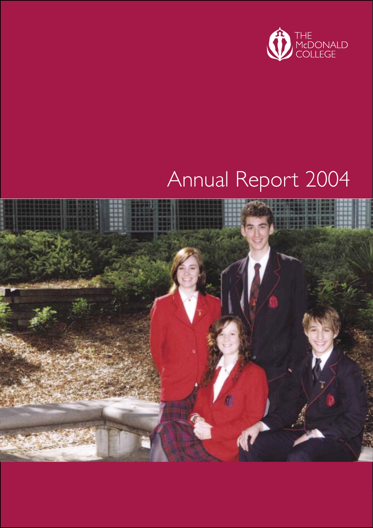

# Annual Report 2004

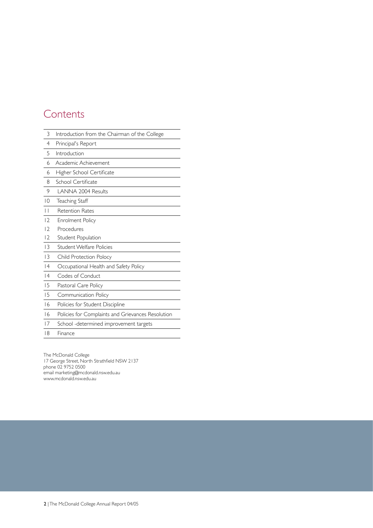# **Contents**

| 3              | Introduction from the Chairman of the College     |
|----------------|---------------------------------------------------|
| 4              | Principal's Report                                |
| 5              | Introduction                                      |
| 6              | Academic Achievement                              |
| 6              | Higher School Certificate                         |
| 8              | School Certificate                                |
| 9              | LANNA 2004 Results                                |
| $\overline{0}$ | Teaching Staff                                    |
| П              | <b>Retention Rates</b>                            |
| $\sqrt{2}$     | <b>Enrolment Policy</b>                           |
| $\overline{2}$ | Procedures                                        |
| $\overline{2}$ | Student Population                                |
| 13             | Student Welfare Policies                          |
| 13             | Child Protection Polocy                           |
| 4              | Occupational Health and Safety Policy             |
| 4              | Codes of Conduct                                  |
| 15             | Pastoral Care Policy                              |
| 15             | Communication Policy                              |
| 16             | Policies for Student Discipline                   |
| 16             | Policies for Complaints and Grievances Resolution |
| 17             | School -determined improvement targets            |
| 18             | Finance                                           |

The McDonald College 17 George Street, North Strathfield NSW 2137 phone 02 9752 0500 email marketing@mcdonald.nsw.edu.au www.mcdonald.nsw.edu.au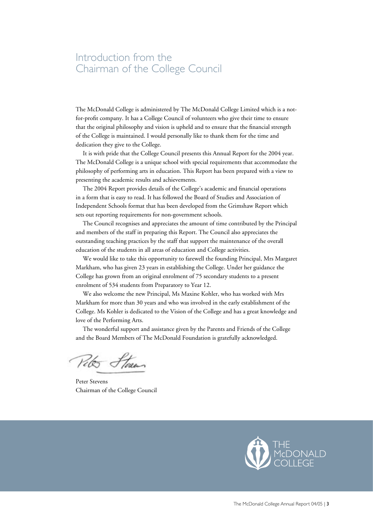### Introduction from the Chairman of the College Council

The McDonald College is administered by The McDonald College Limited which is a notfor-profit company. It has a College Council of volunteers who give their time to ensure that the original philosophy and vision is upheld and to ensure that the financial strength of the College is maintained. I would personally like to thank them for the time and dedication they give to the College.

It is with pride that the College Council presents this Annual Report for the 2004 year. The McDonald College is a unique school with special requirements that accommodate the philosophy of performing arts in education. This Report has been prepared with a view to presenting the academic results and achievements.

The 2004 Report provides details of the College's academic and financial operations in a form that is easy to read. It has followed the Board of Studies and Association of Independent Schools format that has been developed from the Grimshaw Report which sets out reporting requirements for non-government schools.

The Council recognises and appreciates the amount of time contributed by the Principal and members of the staff in preparing this Report. The Council also appreciates the outstanding teaching practices by the staff that support the maintenance of the overall education of the students in all areas of education and College activities.

We would like to take this opportunity to farewell the founding Principal, Mrs Margaret Markham, who has given 23 years in establishing the College. Under her guidance the College has grown from an original enrolment of 75 secondary students to a present enrolment of 534 students from Preparatory to Year 12.

We also welcome the new Principal, Ms Maxine Kohler, who has worked with Mrs Markham for more than 30 years and who was involved in the early establishment of the College. Ms Kohler is dedicated to the Vision of the College and has a great knowledge and love of the Performing Arts.

The wonderful support and assistance given by the Parents and Friends of the College and the Board Members of The McDonald Foundation is gratefully acknowledged.

Peter Steam

Peter Stevens Chairman of the College Council

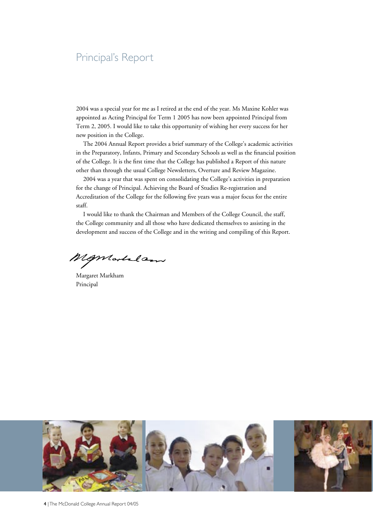### Principal's Report

2004 was a special year for me as I retired at the end of the year. Ms Maxine Kohler was appointed as Acting Principal for Term 1 2005 has now been appointed Principal from Term 2, 2005. I would like to take this opportunity of wishing her every success for her new position in the College.

The 2004 Annual Report provides a brief summary of the College's academic activities in the Preparatory, Infants, Primary and Secondary Schools as well as the financial position of the College. It is the first time that the College has published a Report of this nature other than through the usual College Newsletters, Overture and Review Magazine.

2004 was a year that was spent on consolidating the College's activities in preparation for the change of Principal. Achieving the Board of Studies Re-registration and Accreditation of the College for the following five years was a major focus for the entire staff.

I would like to thank the Chairman and Members of the College Council, the staff, the College community and all those who have dedicated themselves to assisting in the development and success of the College and in the writing and compiling of this Report.

ymartalam

Margaret Markham Principal

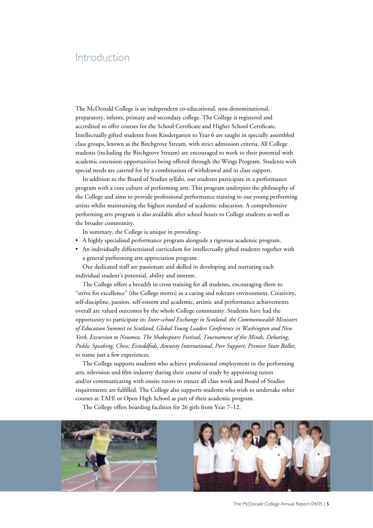### Introduction

The McDonald College is an independent co-educational, non-denominational, preparatory, infants, primary and secondary college. The College is registered and accredited to offer courses for the School Certificate and Higher School Certificate. Intellectually gifted students from Kindergarten to Year 6 are taught in specially assembled class groups, known as the Birchgrove Stream, with strict admission criteria. All College students (including the Birchgrove Stream) are encouraged to work to their potential with academic extension opportunities being offered through the Wings Program. Students with special needs are catered for by a combination of withdrawal and in class support.

In addition to the Board of Studies syllabi, our students participate in a performance program with a core culture of performing arts. This program underpins the philosophy of the College and aims to provide professional performance training to our young performing artists whilst maintaining the highest standard of academic education. A comprehensive performing arts program is also available after school hours to College students as well as the broader community.

In summary, the College is unique in providing:-

- A highly specialised performance program alongside a rigorous academic program.
- An individually differentiated curriculum for intellectually gifted students together with a general performing arts appreciation program.

Our dedicated staff are passionate and skilled in developing and nurturing each individual student's potential, ability and interest.

The College offers a breadth in cross training for all students, encouraging them to "strive for excellence" (the College motto) in a caring and tolerant environment. Creativity, self-discipline, passion, self-esteem and academic, artistic and performance achievements overall are valued outcomes by the whole College community. Students have had the opportunity to participate in: *Inter-school Exchange in Scotland*, the Commonwealth Ministers of Education Summit in Scotland, Global Young Leaders Conference in Washington and New York, Excursion to Noumea, The Shakespeare Festival, Tournament of the Minds, Debating, Public Speaking, Chess, Eisteddfods, Amnesty International, Peer Support, Premier State Ballet, to name just a few experiences.

The College supports students who achieve professional employment in the performing arts, television and film industry during their course of study by appointing tutors and/or communicating with onsite tutors to ensure all class work and Board of Studies requirements are fulfilled. The College also supports students who wish to undertake other courses at TAFE or Open High School as part of their academic program.

The College offers boarding facilities for 26 girls from Year 7-12.

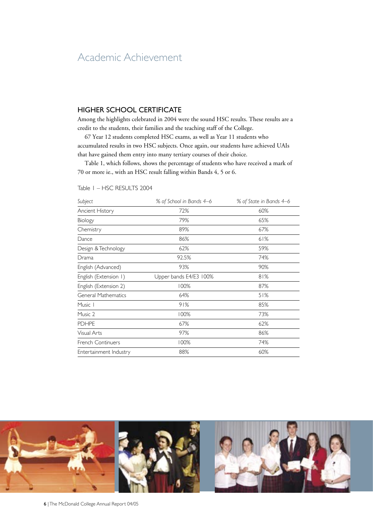# Academic Achievement

#### HIGHER SCHOOL CERTIFICATE

Among the highlights celebrated in 2004 were the sound HSC results. These results are a credit to the students, their families and the teaching staff of the College.

67 Year 12 students completed HSC exams, as well as Year 11 students who accumulated results in two HSC subjects. Once again, our students have achieved UAIs that have gained them entry into many tertiary courses of their choice.

Table 1, which follows, shows the percentage of students who have received a mark of 70 or more ie., with an HSC result falling within Bands 4, 5 or 6.

| Subject                    | % of School in Bands 4-6 | % of State in Bands 4-6 |
|----------------------------|--------------------------|-------------------------|
| Ancient History            | 72%                      | 60%                     |
| Biology                    | 79%                      | 65%                     |
| Chemistry                  | 89%                      | 67%                     |
| Dance                      | 86%                      | 61%                     |
| Design & Technology        | 62%                      | 59%                     |
| Drama                      | 92.5%                    | 74%                     |
| English (Advanced)         | 93%                      | 90%                     |
| English (Extension 1)      | Upper bands E4/E3 100%   | 81%                     |
| English (Extension 2)      | 100%                     | 87%                     |
| <b>General Mathematics</b> | 64%                      | 51%                     |
| Music I                    | 91%                      | 85%                     |
| Music 2                    | 100%                     | 73%                     |
| <b>PDHPE</b>               | 67%                      | 62%                     |
| Visual Arts                | 97%                      | 86%                     |
| <b>French Continuers</b>   | 100%                     | 74%                     |
| Entertainment Industry     | 88%                      | 60%                     |

Table 1 – HSC RESULTS 2004

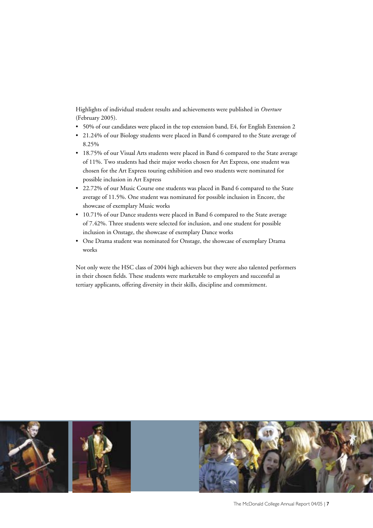Highlights of individual student results and achievements were published in Overture (February 2005).

- 50% of our candidates were placed in the top extension band, E4, for English Extension 2
- 21.24% of our Biology students were placed in Band 6 compared to the State average of 8.25%
- 18.75% of our Visual Arts students were placed in Band 6 compared to the State average of 11%. Two students had their major works chosen for Art Express, one student was chosen for the Art Express touring exhibition and two students were nominated for possible inclusion in Art Express
- 22.72% of our Music Course one students was placed in Band 6 compared to the State average of 11.5%. One student was nominated for possible inclusion in Encore, the showcase of exemplary Music works
- 10.71% of our Dance students were placed in Band 6 compared to the State average of 7.42%. Three students were selected for inclusion, and one student for possible inclusion in Onstage, the showcase of exemplary Dance works
- One Drama student was nominated for Onstage, the showcase of exemplary Drama works

Not only were the HSC class of 2004 high achievers but they were also talented performers in their chosen fields. These students were marketable to employers and successful as tertiary applicants, offering diversity in their skills, discipline and commitment.

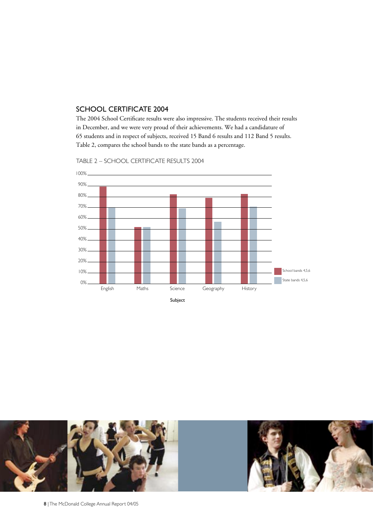#### SCHOOL CERTIFICATE 2004

The 2004 School Certificate results were also impressive. The students received their results in December, and we were very proud of their achievements. We had a candidature of 65 students and in respect of subjects, received 15 Band 6 results and 112 Band 5 results. Table 2, compares the school bands to the state bands as a percentage.



TABLE 2 – SCHOOL CERTIFICATE RESULTS 2004

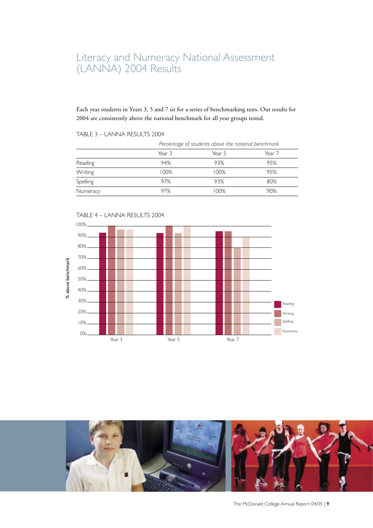# Literacy and Numeracy National Assessment (LANNA) 2004 Results

Each year students in Years 3, 5 and 7 sit for a series of benchmarking tests. Our results for 2004 are consistently above the national benchmark for all year groups tested.

TABLE 3 – LANNA RESULTS 2004

|          | Percentage of students above the national benchmark |        |        |
|----------|-----------------------------------------------------|--------|--------|
|          | Year 3                                              | Year 5 | Year 7 |
| Reading  | 94%                                                 | 93%    | 95%    |
| Writing  | 100%                                                | 100%   | 95%    |
| Spelling | 97%                                                 | 93%    | 80%    |
| Numeracy | 97%                                                 | 100%   | 90%    |



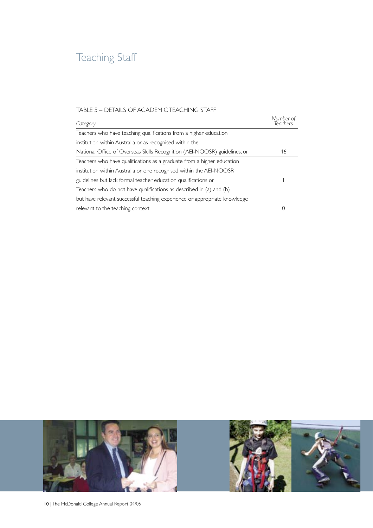# Teaching Staff

#### TABLE 5 – DETAILS OF ACADEMIC TEACHING STAFF

| Category                                                                  | Number of<br><b>Teachers</b> |
|---------------------------------------------------------------------------|------------------------------|
| Teachers who have teaching qualifications from a higher education         |                              |
| institution within Australia or as recognised within the                  |                              |
| National Office of Overseas Skills Recognition (AEI-NOOSR) guidelines, or | 46                           |
| Teachers who have qualifications as a graduate from a higher education    |                              |
| institution within Australia or one recognised within the AEI-NOOSR       |                              |
| guidelines but lack formal teacher education qualifications or            |                              |
| Teachers who do not have qualifications as described in (a) and (b)       |                              |
| but have relevant successful teaching experience or appropriate knowledge |                              |
| relevant to the teaching context.                                         | O                            |

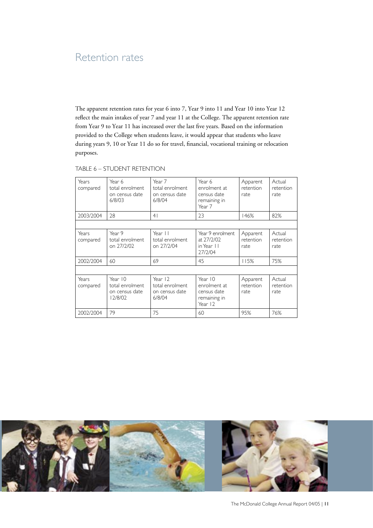# Retention rates

The apparent retention rates for year 6 into 7, Year 9 into 11 and Year 10 into Year 12 reflect the main intakes of year 7 and year 11 at the College. The apparent retention rate from Year 9 to Year 11 has increased over the last five years. Based on the information provided to the College when students leave, it would appear that students who leave during years 9, 10 or Year 11 do so for travel, financial, vocational training or relocation purposes.

| TABLE 6 – STUDENT RETENTION |  |  |
|-----------------------------|--|--|
|                             |  |  |

| Years<br>compared | Year 6<br>total enrolment<br>on census date<br>6/8/03   | Year 7<br>total enrolment<br>on census date<br>6/8/04  | Year 6<br>enrolment at<br>census date<br>remaining in<br>Year 7   | Apparent<br>retention<br>rate | Actual<br>retention<br>rate |
|-------------------|---------------------------------------------------------|--------------------------------------------------------|-------------------------------------------------------------------|-------------------------------|-----------------------------|
| 2003/2004         | 28                                                      | 4 <sub>1</sub>                                         | 23                                                                | 146%                          | 82%                         |
|                   |                                                         |                                                        |                                                                   |                               |                             |
| Years<br>compared | Year 9<br>total enrolment<br>on 27/2/02                 | Year II<br>total enrolment<br>on 27/2/04               | Year 9 enrolment<br>at 27/2/02<br>in Year    <br>27/2/04          | Apparent<br>retention<br>rate | Actual<br>retention<br>rate |
| 2002/2004         | 60                                                      | 69                                                     | 45                                                                | 115%                          | 75%                         |
|                   |                                                         |                                                        |                                                                   |                               |                             |
| Years<br>compared | Year 10<br>total enrolment<br>on census date<br>12/8/02 | Year 12<br>total enrolment<br>on census date<br>6/8/04 | Year 10<br>enrolment at<br>census date<br>remaining in<br>Year 12 | Apparent<br>retention<br>rate | Actual<br>retention<br>rate |
| 2002/2004         | 79                                                      | 75                                                     | 60                                                                | 95%                           | 76%                         |

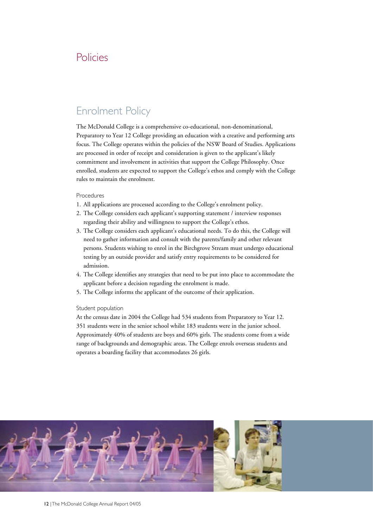# Policies

# Enrolment Policy

The McDonald College is a comprehensive co-educational, non-denominational, Preparatory to Year 12 College providing an education with a creative and performing arts focus. The College operates within the policies of the NSW Board of Studies. Applications are processed in order of receipt and consideration is given to the applicant's likely commitment and involvement in activities that support the College Philosophy. Once enrolled, students are expected to support the College's ethos and comply with the College rules to maintain the enrolment.

#### Procedures

- 1. All applications are processed according to the College's enrolment policy.
- 2. The College considers each applicant's supporting statement / interview responses regarding their ability and willingness to support the College's ethos.
- 3. The College considers each applicant's educational needs. To do this, the College will need to gather information and consult with the parents/family and other relevant persons. Students wishing to enrol in the Birchgrove Stream must undergo educational testing by an outside provider and satisfy entry requirements to be considered for admission.
- 4. The College identifies any strategies that need to be put into place to accommodate the applicant before a decision regarding the enrolment is made.
- 5. The College informs the applicant of the outcome of their application.

#### Student population

At the census date in 2004 the College had 534 students from Preparatory to Year 12. 351 students were in the senior school whilst 183 students were in the junior school. Approximately 40% of students are boys and 60% girls. The students come from a wide range of backgrounds and demographic areas. The College enrols overseas students and operates a boarding facility that accommodates 26 girls.

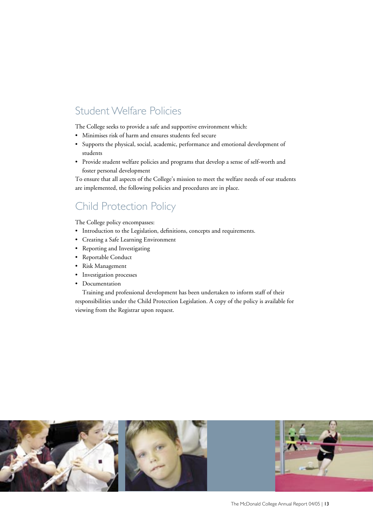# Student Welfare Policies

The College seeks to provide a safe and supportive environment which:

- · Minimises risk of harm and ensures students feel secure
- Supports the physical, social, academic, performance and emotional development of students
- Provide student welfare policies and programs that develop a sense of self-worth and foster personal development

To ensure that all aspects of the College's mission to meet the welfare needs of our students are implemented, the following policies and procedures are in place.

# Child Protection Policy

The College policy encompasses:

- Introduction to the Legislation, definitions, concepts and requirements.
- Creating a Safe Learning Environment
- Reporting and Investigating
- Reportable Conduct
- Risk Management
- · Investigation processes
- · Documentation

Training and professional development has been undertaken to inform staff of their responsibilities under the Child Protection Legislation. A copy of the policy is available for viewing from the Registrar upon request.

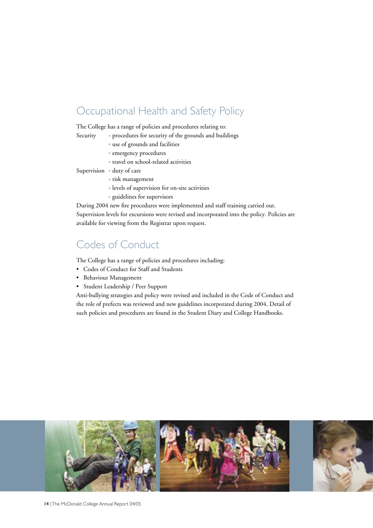# Occupational Health and Safety Policy

The College has a range of policies and procedures relating to:

- Security sprocedures for security of the grounds and buildings
	- use of grounds and facilities
	- emergency procedures
	- · travel on school-related activities

Supervision . duty of care

- risk management
- levels of supervision for on-site activities
- guidelines for supervisors

During 2004 new fire procedures were implemented and staff training carried out. Supervision levels for excursions were revised and incorporated into the policy. Policies are available for viewing from the Registrar upon request.

## Codes of Conduct

The College has a range of policies and procedures including:

- Codes of Conduct for Staff and Students
- Behaviour Management
- Student Leadership / Peer Support

Anti-bullying strategies and policy were revised and included in the Code of Conduct and the role of prefects was reviewed and new guidelines incorporated during 2004. Detail of such policies and procedures are found in the Student Diary and College Handbooks.

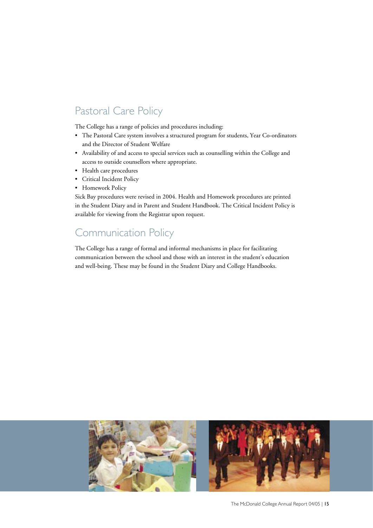# Pastoral Care Policy

The College has a range of policies and procedures including:

- The Pastoral Care system involves a structured program for students, Year Co-ordinators and the Director of Student Welfare
- Availability of and access to special services such as counselling within the College and access to outside counsellors where appropriate.
- Health care procedures
- Critical Incident Policy
- Homework Policy

Sick Bay procedures were revised in 2004. Health and Homework procedures are printed in the Student Diary and in Parent and Student Handbook. The Critical Incident Policy is available for viewing from the Registrar upon request.

# Communication Policy

The College has a range of formal and informal mechanisms in place for facilitating communication between the school and those with an interest in the student's education and well-being. These may be found in the Student Diary and College Handbooks.

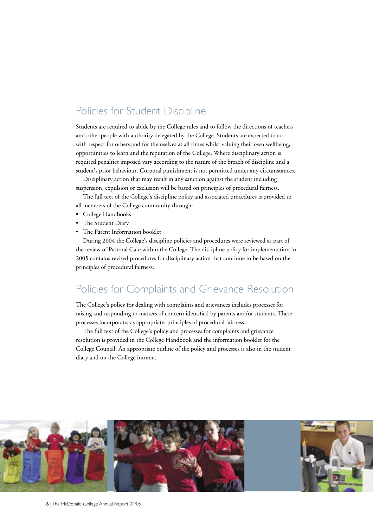# Policies for Student Discipline

Students are required to abide by the College rules and to follow the directions of teachers and other people with authority delegated by the College. Students are expected to act with respect for others and for themselves at all times whilst valuing their own wellbeing, opportunities to learn and the reputation of the College. Where disciplinary action is required penalties imposed vary according to the nature of the breach of discipline and a student's prior behaviour. Corporal punishment is not permitted under any circumstances.

Disciplinary action that may result in any sanction against the student including suspension, expulsion or exclusion will be based on principles of procedural fairness.

The full text of the College's discipline policy and associated procedures is provided to all members of the College community through:

- College Handbooks
- The Student Diary
- The Parent Information booklet

During 2004 the College's discipline policies and procedures were reviewed as part of the review of Pastoral Care within the College. The discipline policy for implementation in 2005 contains revised procedures for disciplinary action that continue to be based on the principles of procedural fairness.

# Policies for Complaints and Grievance Resolution

The College's policy for dealing with complaints and grievances includes processes for raising and responding to matters of concern identified by parents and/or students. These processes incorporate, as appropriate, principles of procedural fairness.

The full text of the College's policy and processes for complaints and grievance resolution is provided in the College Handbook and the information booklet for the College Council. An appropriate outline of the policy and processes is also in the student diary and on the College intranet.

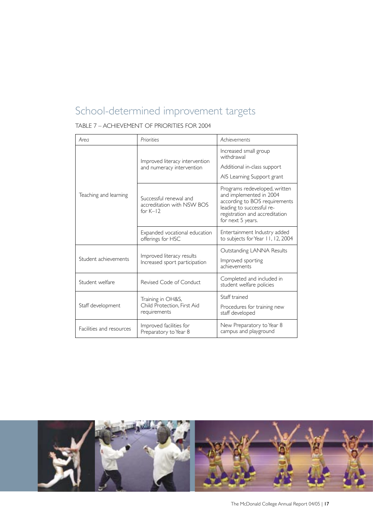# School-determined improvement targets

| Area                                                                         | Priorities                                                         | Achievements                                                                                                                                                                  |  |
|------------------------------------------------------------------------------|--------------------------------------------------------------------|-------------------------------------------------------------------------------------------------------------------------------------------------------------------------------|--|
|                                                                              | Improved literacy intervention<br>and numeracy intervention        | Increased small group<br>withdrawal<br>Additional in-class support<br>AIS Learning Support grant                                                                              |  |
| Teaching and learning                                                        | Successful renewal and<br>accreditation with NSW BOS<br>for $K-12$ | Programs redeveloped, written<br>and implemented in 2004<br>according to BOS requirements<br>leading to successful re-<br>registration and accreditation<br>for next 5 years. |  |
|                                                                              | Expanded vocational education<br>offerings for HSC                 | Entertainment Industry added<br>to subjects for Year 11, 12, 2004                                                                                                             |  |
| Student achievements                                                         | Improved literacy results<br>Increased sport participation         | Outstanding LANNA Results<br>Improved sporting<br>achievements                                                                                                                |  |
| Student welfare                                                              | Revised Code of Conduct                                            | Completed and included in<br>student welfare policies                                                                                                                         |  |
|                                                                              | Training in OH&S,                                                  | Staff trained                                                                                                                                                                 |  |
| Staff development                                                            | Child Protection, First Aid<br>requirements                        | Procedures for training new<br>staff developed                                                                                                                                |  |
| Improved facilities for<br>Facilities and resources<br>Preparatory to Year 8 |                                                                    | New Preparatory to Year 8<br>campus and playground                                                                                                                            |  |

TABLE 7 – ACHIEVEMENT OF PRIORITIES FOR 2004

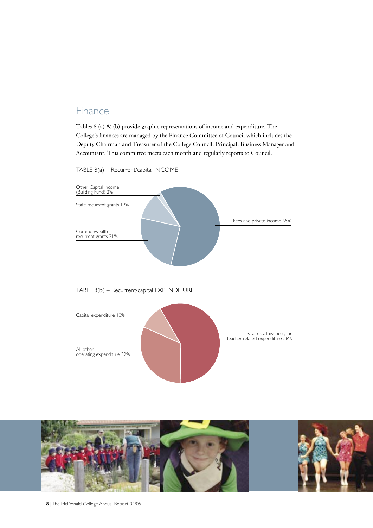# Finance

Tables  $8$  (a)  $\&$  (b) provide graphic representations of income and expenditure. The College's finances are managed by the Finance Committee of Council which includes the Deputy Chairman and Treasurer of the College Council; Principal, Business Manager and Accountant. This committee meets each month and regularly reports to Council.

TABLE 8(a) – Recurrent/capital INCOME



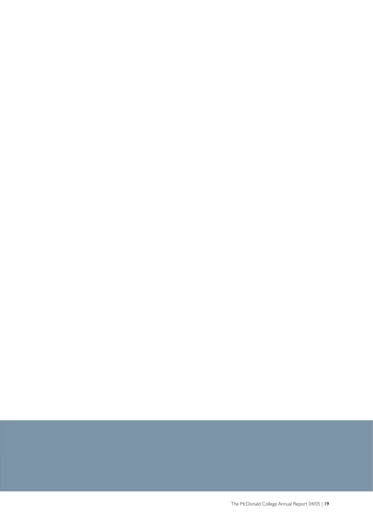The McDonald College Annual Report 04/05 | 19